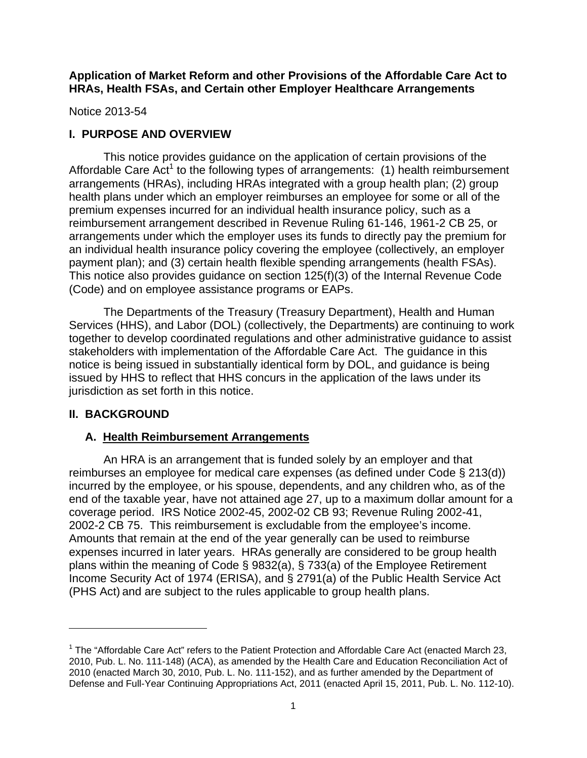**Application of Market Reform and other Provisions of the Affordable Care Act to HRAs, Health FSAs, and Certain other Employer Healthcare Arrangements** 

Notice 2013-54

### **I. PURPOSE AND OVERVIEW**

 This notice provides guidance on the application of certain provisions of the Affordable Care  $Act<sup>1</sup>$  to the following types of arrangements: (1) health reimbursement arrangements (HRAs), including HRAs integrated with a group health plan; (2) group health plans under which an employer reimburses an employee for some or all of the premium expenses incurred for an individual health insurance policy, such as a reimbursement arrangement described in Revenue Ruling 61-146, 1961-2 CB 25, or arrangements under which the employer uses its funds to directly pay the premium for an individual health insurance policy covering the employee (collectively, an employer payment plan); and (3) certain health flexible spending arrangements (health FSAs). This notice also provides guidance on section 125(f)(3) of the Internal Revenue Code (Code) and on employee assistance programs or EAPs.

 The Departments of the Treasury (Treasury Department), Health and Human Services (HHS), and Labor (DOL) (collectively, the Departments) are continuing to work together to develop coordinated regulations and other administrative guidance to assist stakeholders with implementation of the Affordable Care Act. The guidance in this notice is being issued in substantially identical form by DOL, and guidance is being issued by HHS to reflect that HHS concurs in the application of the laws under its jurisdiction as set forth in this notice.

# **II. BACKGROUND**

 $\overline{\phantom{a}}$ 

# **A. Health Reimbursement Arrangements**

 An HRA is an arrangement that is funded solely by an employer and that reimburses an employee for medical care expenses (as defined under Code § 213(d)) incurred by the employee, or his spouse, dependents, and any children who, as of the end of the taxable year, have not attained age 27, up to a maximum dollar amount for a coverage period. IRS Notice 2002-45, 2002-02 CB 93; Revenue Ruling 2002-41, 2002-2 CB 75. This reimbursement is excludable from the employee's income. Amounts that remain at the end of the year generally can be used to reimburse expenses incurred in later years. HRAs generally are considered to be group health plans within the meaning of Code § 9832(a), § 733(a) of the Employee Retirement Income Security Act of 1974 (ERISA), and § 2791(a) of the Public Health Service Act (PHS Act) and are subject to the rules applicable to group health plans.

<sup>&</sup>lt;sup>1</sup> The "Affordable Care Act" refers to the Patient Protection and Affordable Care Act (enacted March 23, 2010, Pub. L. No. 111-148) (ACA), as amended by the Health Care and Education Reconciliation Act of 2010 (enacted March 30, 2010, Pub. L. No. 111-152), and as further amended by the Department of Defense and Full-Year Continuing Appropriations Act, 2011 (enacted April 15, 2011, Pub. L. No. 112-10).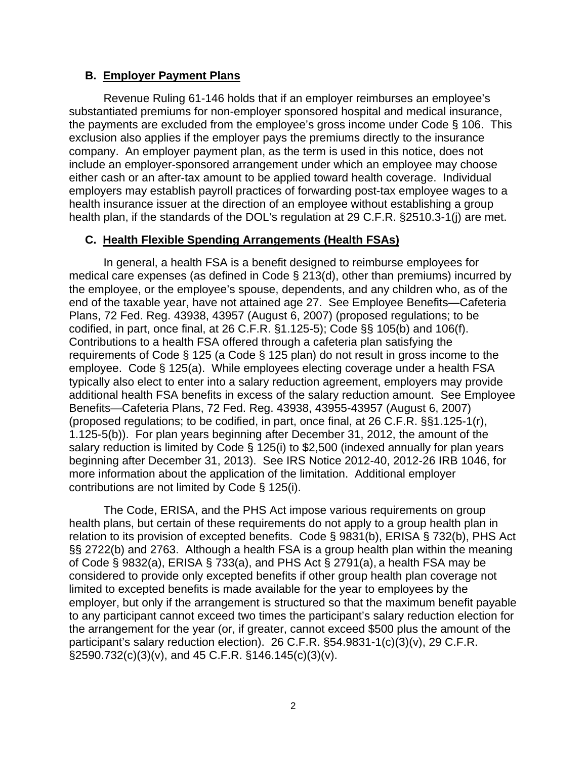### **B. Employer Payment Plans**

 Revenue Ruling 61-146 holds that if an employer reimburses an employee's substantiated premiums for non-employer sponsored hospital and medical insurance, the payments are excluded from the employee's gross income under Code § 106. This exclusion also applies if the employer pays the premiums directly to the insurance company. An employer payment plan, as the term is used in this notice, does not include an employer-sponsored arrangement under which an employee may choose either cash or an after-tax amount to be applied toward health coverage. Individual employers may establish payroll practices of forwarding post-tax employee wages to a health insurance issuer at the direction of an employee without establishing a group health plan, if the standards of the DOL's regulation at 29 C.F.R. §2510.3-1(j) are met.

### **C. Health Flexible Spending Arrangements (Health FSAs)**

 In general, a health FSA is a benefit designed to reimburse employees for medical care expenses (as defined in Code § 213(d), other than premiums) incurred by the employee, or the employee's spouse, dependents, and any children who, as of the end of the taxable year, have not attained age 27. See Employee Benefits—Cafeteria Plans, 72 Fed. Reg. 43938, 43957 (August 6, 2007) (proposed regulations; to be codified, in part, once final, at 26 C.F.R. §1.125-5); Code §§ 105(b) and 106(f). Contributions to a health FSA offered through a cafeteria plan satisfying the requirements of Code § 125 (a Code § 125 plan) do not result in gross income to the employee. Code § 125(a). While employees electing coverage under a health FSA typically also elect to enter into a salary reduction agreement, employers may provide additional health FSA benefits in excess of the salary reduction amount. See Employee Benefits—Cafeteria Plans, 72 Fed. Reg. 43938, 43955-43957 (August 6, 2007) (proposed regulations; to be codified, in part, once final, at 26 C.F.R. §§1.125-1(r), 1.125-5(b)). For plan years beginning after December 31, 2012, the amount of the salary reduction is limited by Code § 125(i) to \$2,500 (indexed annually for plan years beginning after December 31, 2013). See IRS Notice 2012-40, 2012-26 IRB 1046, for more information about the application of the limitation. Additional employer contributions are not limited by Code § 125(i).

 The Code, ERISA, and the PHS Act impose various requirements on group health plans, but certain of these requirements do not apply to a group health plan in relation to its provision of excepted benefits. Code § 9831(b), ERISA § 732(b), PHS Act §§ 2722(b) and 2763. Although a health FSA is a group health plan within the meaning of Code § 9832(a), ERISA § 733(a), and PHS Act § 2791(a), a health FSA may be considered to provide only excepted benefits if other group health plan coverage not limited to excepted benefits is made available for the year to employees by the employer, but only if the arrangement is structured so that the maximum benefit payable to any participant cannot exceed two times the participant's salary reduction election for the arrangement for the year (or, if greater, cannot exceed \$500 plus the amount of the participant's salary reduction election). 26 C.F.R. §54.9831-1(c)(3)(v), 29 C.F.R. §2590.732(c)(3)(v), and 45 C.F.R. §146.145(c)(3)(v).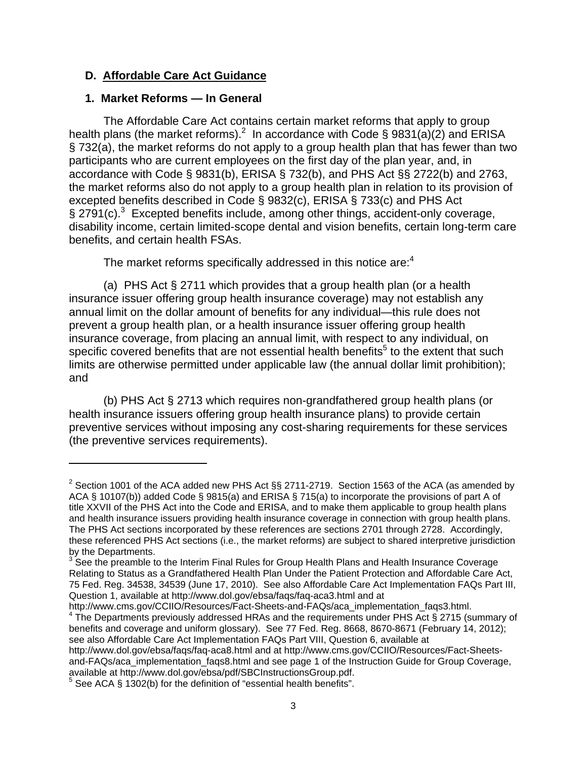## **D. Affordable Care Act Guidance**

### **1. Market Reforms — In General**

 $\overline{\phantom{a}}$ 

 The Affordable Care Act contains certain market reforms that apply to group health plans (the market reforms).<sup>2</sup> In accordance with Code § 9831(a)(2) and ERISA § 732(a), the market reforms do not apply to a group health plan that has fewer than two participants who are current employees on the first day of the plan year, and, in accordance with Code § 9831(b), ERISA § 732(b), and PHS Act §§ 2722(b) and 2763, the market reforms also do not apply to a group health plan in relation to its provision of excepted benefits described in Code § 9832(c), ERISA § 733(c) and PHS Act § 2791(c).<sup>3</sup> Excepted benefits include, among other things, accident-only coverage, disability income, certain limited-scope dental and vision benefits, certain long-term care benefits, and certain health FSAs.

The market reforms specifically addressed in this notice are: $4$ 

 (a) PHS Act § 2711 which provides that a group health plan (or a health insurance issuer offering group health insurance coverage) may not establish any annual limit on the dollar amount of benefits for any individual—this rule does not prevent a group health plan, or a health insurance issuer offering group health insurance coverage, from placing an annual limit, with respect to any individual, on specific covered benefits that are not essential health benefits<sup>5</sup> to the extent that such limits are otherwise permitted under applicable law (the annual dollar limit prohibition); and

 (b) PHS Act § 2713 which requires non-grandfathered group health plans (or health insurance issuers offering group health insurance plans) to provide certain preventive services without imposing any cost-sharing requirements for these services (the preventive services requirements).

http://www.cms.gov/CCIIO/Resources/Fact-Sheets-and-FAQs/aca\_implementation\_faqs3.html.  $4$  The Departments previously addressed HRAs and the requirements under PHS Act § 2715 (summary of benefits and coverage and uniform glossary). See 77 Fed. Reg. 8668, 8670-8671 (February 14, 2012);

see also Affordable Care Act Implementation FAQs Part VIII, Question 6, available at

http://www.dol.gov/ebsa/faqs/faq-aca8.html and at http://www.cms.gov/CCIIO/Resources/Fact-Sheetsand-FAQs/aca\_implementation\_faqs8.html and see page 1 of the Instruction Guide for Group Coverage, available at http://www.dol.gov/ebsa/pdf/SBCInstructionsGroup.pdf.

<sup>&</sup>lt;sup>2</sup> Section 1001 of the ACA added new PHS Act §§ 2711-2719. Section 1563 of the ACA (as amended by ACA § 10107(b)) added Code § 9815(a) and ERISA § 715(a) to incorporate the provisions of part A of title XXVII of the PHS Act into the Code and ERISA, and to make them applicable to group health plans and health insurance issuers providing health insurance coverage in connection with group health plans. The PHS Act sections incorporated by these references are sections 2701 through 2728. Accordingly, these referenced PHS Act sections (i.e., the market reforms) are subject to shared interpretive jurisdiction by the Departments.

<sup>&</sup>lt;sup>3</sup> See the preamble to the Interim Final Rules for Group Health Plans and Health Insurance Coverage Relating to Status as a Grandfathered Health Plan Under the Patient Protection and Affordable Care Act, 75 Fed. Reg. 34538, 34539 (June 17, 2010). See also Affordable Care Act Implementation FAQs Part III, Question 1, available at http://www.dol.gov/ebsa/faqs/faq-aca3.html and at

See ACA § 1302(b) for the definition of "essential health benefits".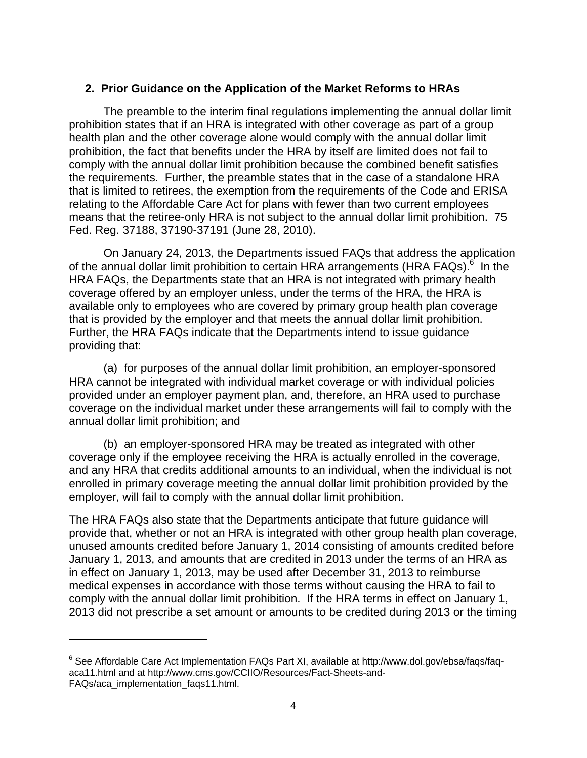### **2. Prior Guidance on the Application of the Market Reforms to HRAs**

 The preamble to the interim final regulations implementing the annual dollar limit prohibition states that if an HRA is integrated with other coverage as part of a group health plan and the other coverage alone would comply with the annual dollar limit prohibition, the fact that benefits under the HRA by itself are limited does not fail to comply with the annual dollar limit prohibition because the combined benefit satisfies the requirements. Further, the preamble states that in the case of a standalone HRA that is limited to retirees, the exemption from the requirements of the Code and ERISA relating to the Affordable Care Act for plans with fewer than two current employees means that the retiree-only HRA is not subject to the annual dollar limit prohibition. 75 Fed. Reg. 37188, 37190-37191 (June 28, 2010).

 On January 24, 2013, the Departments issued FAQs that address the application of the annual dollar limit prohibition to certain HRA arrangements (HRA FAQs).<sup>6</sup> In the HRA FAQs, the Departments state that an HRA is not integrated with primary health coverage offered by an employer unless, under the terms of the HRA, the HRA is available only to employees who are covered by primary group health plan coverage that is provided by the employer and that meets the annual dollar limit prohibition. Further, the HRA FAQs indicate that the Departments intend to issue guidance providing that:

 (a) for purposes of the annual dollar limit prohibition, an employer-sponsored HRA cannot be integrated with individual market coverage or with individual policies provided under an employer payment plan, and, therefore, an HRA used to purchase coverage on the individual market under these arrangements will fail to comply with the annual dollar limit prohibition; and

 (b) an employer-sponsored HRA may be treated as integrated with other coverage only if the employee receiving the HRA is actually enrolled in the coverage, and any HRA that credits additional amounts to an individual, when the individual is not enrolled in primary coverage meeting the annual dollar limit prohibition provided by the employer, will fail to comply with the annual dollar limit prohibition.

The HRA FAQs also state that the Departments anticipate that future guidance will provide that, whether or not an HRA is integrated with other group health plan coverage, unused amounts credited before January 1, 2014 consisting of amounts credited before January 1, 2013, and amounts that are credited in 2013 under the terms of an HRA as in effect on January 1, 2013, may be used after December 31, 2013 to reimburse medical expenses in accordance with those terms without causing the HRA to fail to comply with the annual dollar limit prohibition. If the HRA terms in effect on January 1, 2013 did not prescribe a set amount or amounts to be credited during 2013 or the timing

<sup>&</sup>lt;sup>6</sup> See Affordable Care Act Implementation FAQs Part XI, available at http://www.dol.gov/ebsa/faqs/faqaca11.html and at http://www.cms.gov/CCIIO/Resources/Fact-Sheets-and-FAQs/aca\_implementation\_faqs11.html.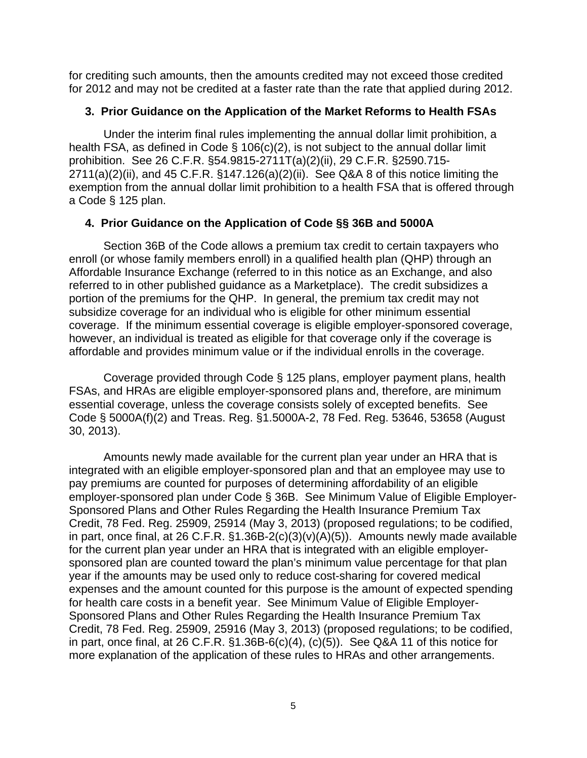for crediting such amounts, then the amounts credited may not exceed those credited for 2012 and may not be credited at a faster rate than the rate that applied during 2012.

#### **3. Prior Guidance on the Application of the Market Reforms to Health FSAs**

 Under the interim final rules implementing the annual dollar limit prohibition, a health FSA, as defined in Code § 106(c)(2), is not subject to the annual dollar limit prohibition. See 26 C.F.R. §54.9815-2711T(a)(2)(ii), 29 C.F.R. §2590.715- 2711(a)(2)(ii), and 45 C.F.R. §147.126(a)(2)(ii). See Q&A 8 of this notice limiting the exemption from the annual dollar limit prohibition to a health FSA that is offered through a Code § 125 plan.

### **4. Prior Guidance on the Application of Code §§ 36B and 5000A**

Section 36B of the Code allows a premium tax credit to certain taxpayers who enroll (or whose family members enroll) in a qualified health plan (QHP) through an Affordable Insurance Exchange (referred to in this notice as an Exchange, and also referred to in other published guidance as a Marketplace). The credit subsidizes a portion of the premiums for the QHP. In general, the premium tax credit may not subsidize coverage for an individual who is eligible for other minimum essential coverage. If the minimum essential coverage is eligible employer-sponsored coverage, however, an individual is treated as eligible for that coverage only if the coverage is affordable and provides minimum value or if the individual enrolls in the coverage.

 Coverage provided through Code § 125 plans, employer payment plans, health FSAs, and HRAs are eligible employer-sponsored plans and, therefore, are minimum essential coverage, unless the coverage consists solely of excepted benefits. See Code § 5000A(f)(2) and Treas. Reg. §1.5000A-2, 78 Fed. Reg. 53646, 53658 (August 30, 2013).

Amounts newly made available for the current plan year under an HRA that is integrated with an eligible employer-sponsored plan and that an employee may use to pay premiums are counted for purposes of determining affordability of an eligible employer-sponsored plan under Code § 36B. See Minimum Value of Eligible Employer-Sponsored Plans and Other Rules Regarding the Health Insurance Premium Tax Credit, 78 Fed. Reg. 25909, 25914 (May 3, 2013) (proposed regulations; to be codified, in part, once final, at 26 C.F.R.  $\S1.36B-2(c)(3)(v)(A)(5)$ ). Amounts newly made available for the current plan year under an HRA that is integrated with an eligible employersponsored plan are counted toward the plan's minimum value percentage for that plan year if the amounts may be used only to reduce cost-sharing for covered medical expenses and the amount counted for this purpose is the amount of expected spending for health care costs in a benefit year. See Minimum Value of Eligible Employer-Sponsored Plans and Other Rules Regarding the Health Insurance Premium Tax Credit, 78 Fed. Reg. 25909, 25916 (May 3, 2013) (proposed regulations; to be codified, in part, once final, at 26 C.F.R.  $\S1.36B-6(c)(4)$ ,  $(c)(5)$ ). See Q&A 11 of this notice for more explanation of the application of these rules to HRAs and other arrangements.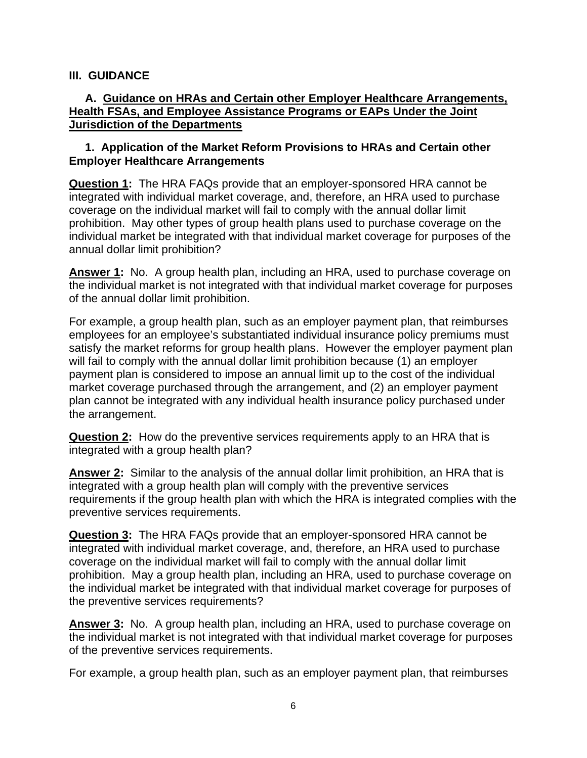### **III. GUIDANCE**

### **A. Guidance on HRAs and Certain other Employer Healthcare Arrangements, Health FSAs, and Employee Assistance Programs or EAPs Under the Joint Jurisdiction of the Departments**

### **1. Application of the Market Reform Provisions to HRAs and Certain other Employer Healthcare Arrangements**

**Question 1:** The HRA FAQs provide that an employer-sponsored HRA cannot be integrated with individual market coverage, and, therefore, an HRA used to purchase coverage on the individual market will fail to comply with the annual dollar limit prohibition. May other types of group health plans used to purchase coverage on the individual market be integrated with that individual market coverage for purposes of the annual dollar limit prohibition?

**Answer 1:** No. A group health plan, including an HRA, used to purchase coverage on the individual market is not integrated with that individual market coverage for purposes of the annual dollar limit prohibition.

For example, a group health plan, such as an employer payment plan, that reimburses employees for an employee's substantiated individual insurance policy premiums must satisfy the market reforms for group health plans. However the employer payment plan will fail to comply with the annual dollar limit prohibition because (1) an employer payment plan is considered to impose an annual limit up to the cost of the individual market coverage purchased through the arrangement, and (2) an employer payment plan cannot be integrated with any individual health insurance policy purchased under the arrangement.

**Question 2:** How do the preventive services requirements apply to an HRA that is integrated with a group health plan?

**Answer 2:** Similar to the analysis of the annual dollar limit prohibition, an HRA that is integrated with a group health plan will comply with the preventive services requirements if the group health plan with which the HRA is integrated complies with the preventive services requirements.

**Question 3:** The HRA FAQs provide that an employer-sponsored HRA cannot be integrated with individual market coverage, and, therefore, an HRA used to purchase coverage on the individual market will fail to comply with the annual dollar limit prohibition. May a group health plan, including an HRA, used to purchase coverage on the individual market be integrated with that individual market coverage for purposes of the preventive services requirements?

**Answer 3:** No. A group health plan, including an HRA, used to purchase coverage on the individual market is not integrated with that individual market coverage for purposes of the preventive services requirements.

For example, a group health plan, such as an employer payment plan, that reimburses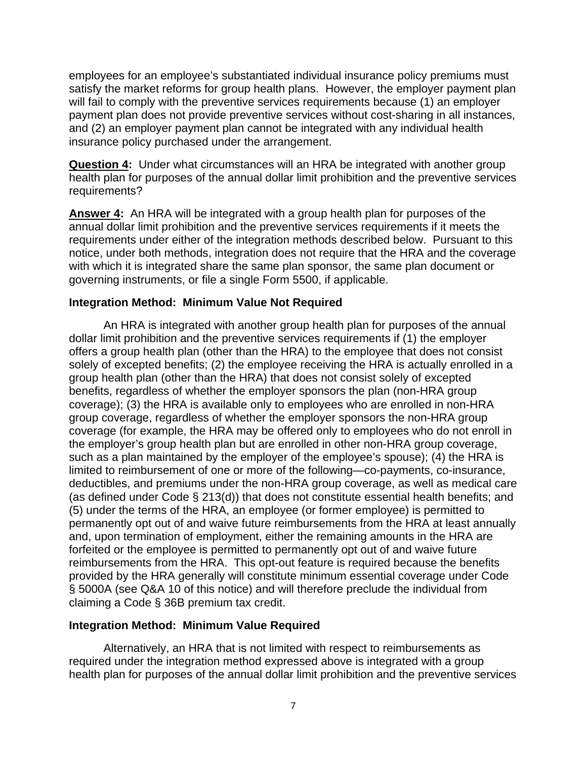employees for an employee's substantiated individual insurance policy premiums must satisfy the market reforms for group health plans. However, the employer payment plan will fail to comply with the preventive services requirements because (1) an employer payment plan does not provide preventive services without cost-sharing in all instances, and (2) an employer payment plan cannot be integrated with any individual health insurance policy purchased under the arrangement.

**Question 4:** Under what circumstances will an HRA be integrated with another group health plan for purposes of the annual dollar limit prohibition and the preventive services requirements?

**Answer 4:** An HRA will be integrated with a group health plan for purposes of the annual dollar limit prohibition and the preventive services requirements if it meets the requirements under either of the integration methods described below. Pursuant to this notice, under both methods, integration does not require that the HRA and the coverage with which it is integrated share the same plan sponsor, the same plan document or governing instruments, or file a single Form 5500, if applicable.

### **Integration Method: Minimum Value Not Required**

 An HRA is integrated with another group health plan for purposes of the annual dollar limit prohibition and the preventive services requirements if (1) the employer offers a group health plan (other than the HRA) to the employee that does not consist solely of excepted benefits; (2) the employee receiving the HRA is actually enrolled in a group health plan (other than the HRA) that does not consist solely of excepted benefits, regardless of whether the employer sponsors the plan (non-HRA group coverage); (3) the HRA is available only to employees who are enrolled in non-HRA group coverage, regardless of whether the employer sponsors the non-HRA group coverage (for example, the HRA may be offered only to employees who do not enroll in the employer's group health plan but are enrolled in other non-HRA group coverage, such as a plan maintained by the employer of the employee's spouse); (4) the HRA is limited to reimbursement of one or more of the following—co-payments, co-insurance, deductibles, and premiums under the non-HRA group coverage, as well as medical care (as defined under Code § 213(d)) that does not constitute essential health benefits; and (5) under the terms of the HRA, an employee (or former employee) is permitted to permanently opt out of and waive future reimbursements from the HRA at least annually and, upon termination of employment, either the remaining amounts in the HRA are forfeited or the employee is permitted to permanently opt out of and waive future reimbursements from the HRA. This opt-out feature is required because the benefits provided by the HRA generally will constitute minimum essential coverage under Code § 5000A (see Q&A 10 of this notice) and will therefore preclude the individual from claiming a Code § 36B premium tax credit.

### **Integration Method: Minimum Value Required**

 Alternatively, an HRA that is not limited with respect to reimbursements as required under the integration method expressed above is integrated with a group health plan for purposes of the annual dollar limit prohibition and the preventive services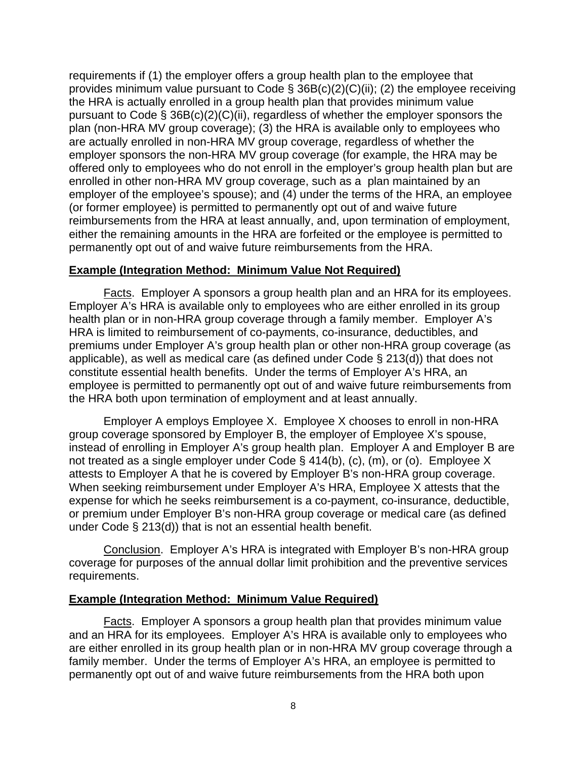requirements if (1) the employer offers a group health plan to the employee that provides minimum value pursuant to Code  $\S$  36B(c)(2)(C)(ii); (2) the employee receiving the HRA is actually enrolled in a group health plan that provides minimum value pursuant to Code § 36B(c)(2)(C)(ii), regardless of whether the employer sponsors the plan (non-HRA MV group coverage); (3) the HRA is available only to employees who are actually enrolled in non-HRA MV group coverage, regardless of whether the employer sponsors the non-HRA MV group coverage (for example, the HRA may be offered only to employees who do not enroll in the employer's group health plan but are enrolled in other non-HRA MV group coverage, such as a plan maintained by an employer of the employee's spouse); and (4) under the terms of the HRA, an employee (or former employee) is permitted to permanently opt out of and waive future reimbursements from the HRA at least annually, and, upon termination of employment, either the remaining amounts in the HRA are forfeited or the employee is permitted to permanently opt out of and waive future reimbursements from the HRA.

#### **Example (Integration Method: Minimum Value Not Required)**

 Facts. Employer A sponsors a group health plan and an HRA for its employees. Employer A's HRA is available only to employees who are either enrolled in its group health plan or in non-HRA group coverage through a family member. Employer A's HRA is limited to reimbursement of co-payments, co-insurance, deductibles, and premiums under Employer A's group health plan or other non-HRA group coverage (as applicable), as well as medical care (as defined under Code § 213(d)) that does not constitute essential health benefits. Under the terms of Employer A's HRA, an employee is permitted to permanently opt out of and waive future reimbursements from the HRA both upon termination of employment and at least annually.

 Employer A employs Employee X. Employee X chooses to enroll in non-HRA group coverage sponsored by Employer B, the employer of Employee X's spouse, instead of enrolling in Employer A's group health plan. Employer A and Employer B are not treated as a single employer under Code § 414(b), (c), (m), or (o). Employee X attests to Employer A that he is covered by Employer B's non-HRA group coverage. When seeking reimbursement under Employer A's HRA, Employee X attests that the expense for which he seeks reimbursement is a co-payment, co-insurance, deductible, or premium under Employer B's non-HRA group coverage or medical care (as defined under Code § 213(d)) that is not an essential health benefit.

 Conclusion. Employer A's HRA is integrated with Employer B's non-HRA group coverage for purposes of the annual dollar limit prohibition and the preventive services requirements.

### **Example (Integration Method: Minimum Value Required)**

 Facts. Employer A sponsors a group health plan that provides minimum value and an HRA for its employees. Employer A's HRA is available only to employees who are either enrolled in its group health plan or in non-HRA MV group coverage through a family member. Under the terms of Employer A's HRA, an employee is permitted to permanently opt out of and waive future reimbursements from the HRA both upon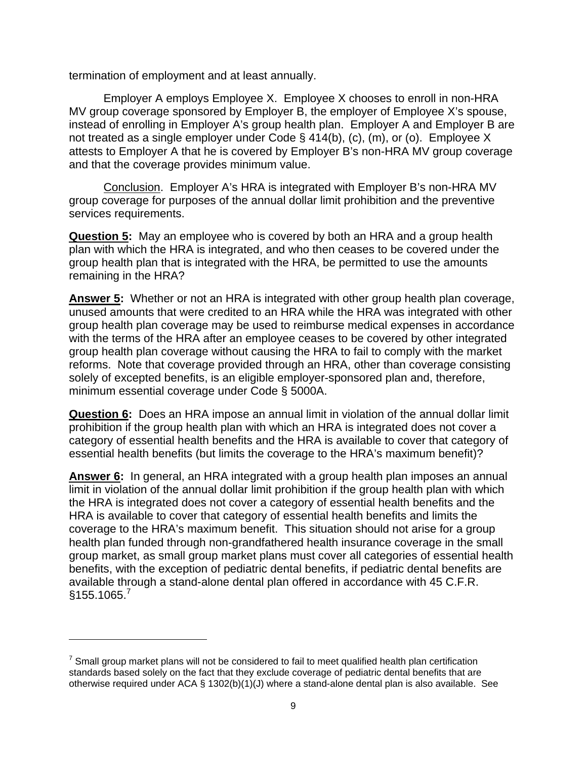termination of employment and at least annually.

 Employer A employs Employee X. Employee X chooses to enroll in non-HRA MV group coverage sponsored by Employer B, the employer of Employee X's spouse, instead of enrolling in Employer A's group health plan. Employer A and Employer B are not treated as a single employer under Code § 414(b), (c), (m), or (o). Employee X attests to Employer A that he is covered by Employer B's non-HRA MV group coverage and that the coverage provides minimum value.

 Conclusion. Employer A's HRA is integrated with Employer B's non-HRA MV group coverage for purposes of the annual dollar limit prohibition and the preventive services requirements.

**Question 5:** May an employee who is covered by both an HRA and a group health plan with which the HRA is integrated, and who then ceases to be covered under the group health plan that is integrated with the HRA, be permitted to use the amounts remaining in the HRA?

**Answer 5:** Whether or not an HRA is integrated with other group health plan coverage, unused amounts that were credited to an HRA while the HRA was integrated with other group health plan coverage may be used to reimburse medical expenses in accordance with the terms of the HRA after an employee ceases to be covered by other integrated group health plan coverage without causing the HRA to fail to comply with the market reforms. Note that coverage provided through an HRA, other than coverage consisting solely of excepted benefits, is an eligible employer-sponsored plan and, therefore, minimum essential coverage under Code § 5000A.

**Question 6:** Does an HRA impose an annual limit in violation of the annual dollar limit prohibition if the group health plan with which an HRA is integrated does not cover a category of essential health benefits and the HRA is available to cover that category of essential health benefits (but limits the coverage to the HRA's maximum benefit)?

**Answer 6:** In general, an HRA integrated with a group health plan imposes an annual limit in violation of the annual dollar limit prohibition if the group health plan with which the HRA is integrated does not cover a category of essential health benefits and the HRA is available to cover that category of essential health benefits and limits the coverage to the HRA's maximum benefit. This situation should not arise for a group health plan funded through non-grandfathered health insurance coverage in the small group market, as small group market plans must cover all categories of essential health benefits, with the exception of pediatric dental benefits, if pediatric dental benefits are available through a stand-alone dental plan offered in accordance with 45 C.F.R.  $§155.1065.<sup>7</sup>$ 

 $<sup>7</sup>$  Small group market plans will not be considered to fail to meet qualified health plan certification</sup> standards based solely on the fact that they exclude coverage of pediatric dental benefits that are otherwise required under ACA § 1302(b)(1)(J) where a stand-alone dental plan is also available. See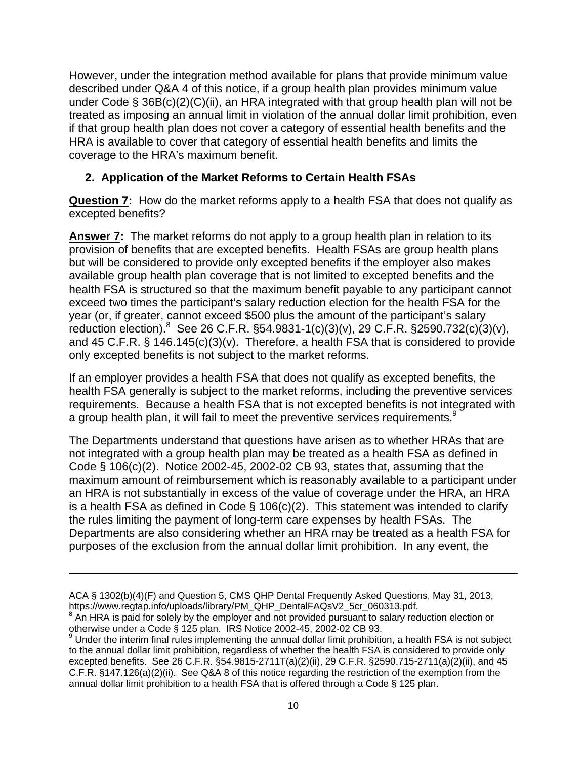However, under the integration method available for plans that provide minimum value described under Q&A 4 of this notice, if a group health plan provides minimum value under Code § 36B(c)(2)(C)(ii), an HRA integrated with that group health plan will not be treated as imposing an annual limit in violation of the annual dollar limit prohibition, even if that group health plan does not cover a category of essential health benefits and the HRA is available to cover that category of essential health benefits and limits the coverage to the HRA's maximum benefit.

# **2. Application of the Market Reforms to Certain Health FSAs**

**Question 7:** How do the market reforms apply to a health FSA that does not qualify as excepted benefits?

**Answer 7:** The market reforms do not apply to a group health plan in relation to its provision of benefits that are excepted benefits. Health FSAs are group health plans but will be considered to provide only excepted benefits if the employer also makes available group health plan coverage that is not limited to excepted benefits and the health FSA is structured so that the maximum benefit payable to any participant cannot exceed two times the participant's salary reduction election for the health FSA for the year (or, if greater, cannot exceed \$500 plus the amount of the participant's salary reduction election). <sup>8</sup> See 26 C.F.R.  $\S 54.9831 - 1(c)(3)(v)$ , 29 C.F.R.  $\S 2590.732(c)(3)(v)$ , and 45 C.F.R. § 146.145(c)(3)(v). Therefore, a health FSA that is considered to provide only excepted benefits is not subject to the market reforms.

If an employer provides a health FSA that does not qualify as excepted benefits, the health FSA generally is subject to the market reforms, including the preventive services requirements. Because a health FSA that is not excepted benefits is not integrated with a group health plan, it will fail to meet the preventive services requirements.<sup>9</sup>

The Departments understand that questions have arisen as to whether HRAs that are not integrated with a group health plan may be treated as a health FSA as defined in Code § 106(c)(2). Notice 2002-45, 2002-02 CB 93, states that, assuming that the maximum amount of reimbursement which is reasonably available to a participant under an HRA is not substantially in excess of the value of coverage under the HRA, an HRA is a health FSA as defined in Code  $\S$  106(c)(2). This statement was intended to clarify the rules limiting the payment of long-term care expenses by health FSAs. The Departments are also considering whether an HRA may be treated as a health FSA for purposes of the exclusion from the annual dollar limit prohibition. In any event, the

ACA § 1302(b)(4)(F) and Question 5, CMS QHP Dental Frequently Asked Questions, May 31, 2013, https://www.regtap.info/uploads/library/PM\_QHP\_DentalFAQsV2\_5cr\_060313.pdf. <sup>8</sup>

 $8$  An HRA is paid for solely by the employer and not provided pursuant to salary reduction election or otherwise under a Code § 125 plan. IRS Notice 2002-45, 2002-02 CB 93.

<sup>&</sup>lt;sup>9</sup> Under the interim final rules implementing the annual dollar limit prohibition, a health FSA is not subject to the annual dollar limit prohibition, regardless of whether the health FSA is considered to provide only excepted benefits. See 26 C.F.R. §54.9815-2711T(a)(2)(ii), 29 C.F.R. §2590.715-2711(a)(2)(ii), and 45 C.F.R. §147.126(a)(2)(ii). See Q&A 8 of this notice regarding the restriction of the exemption from the annual dollar limit prohibition to a health FSA that is offered through a Code § 125 plan.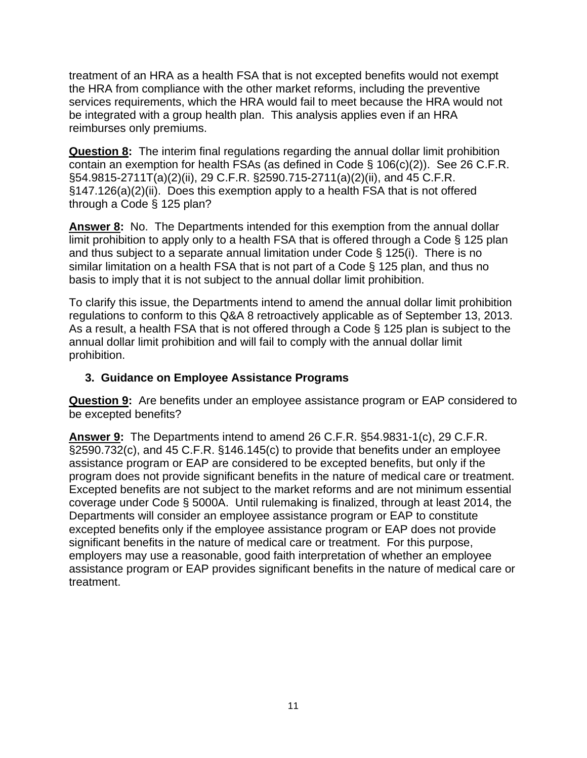treatment of an HRA as a health FSA that is not excepted benefits would not exempt the HRA from compliance with the other market reforms, including the preventive services requirements, which the HRA would fail to meet because the HRA would not be integrated with a group health plan. This analysis applies even if an HRA reimburses only premiums.

**Question 8:** The interim final regulations regarding the annual dollar limit prohibition contain an exemption for health FSAs (as defined in Code § 106(c)(2)). See 26 C.F.R. §54.9815-2711T(a)(2)(ii), 29 C.F.R. §2590.715-2711(a)(2)(ii), and 45 C.F.R. §147.126(a)(2)(ii). Does this exemption apply to a health FSA that is not offered through a Code § 125 plan?

**Answer 8:** No. The Departments intended for this exemption from the annual dollar limit prohibition to apply only to a health FSA that is offered through a Code § 125 plan and thus subject to a separate annual limitation under Code § 125(i). There is no similar limitation on a health FSA that is not part of a Code § 125 plan, and thus no basis to imply that it is not subject to the annual dollar limit prohibition.

To clarify this issue, the Departments intend to amend the annual dollar limit prohibition regulations to conform to this Q&A 8 retroactively applicable as of September 13, 2013. As a result, a health FSA that is not offered through a Code § 125 plan is subject to the annual dollar limit prohibition and will fail to comply with the annual dollar limit prohibition.

## **3. Guidance on Employee Assistance Programs**

**Question 9:** Are benefits under an employee assistance program or EAP considered to be excepted benefits?

**Answer 9:** The Departments intend to amend 26 C.F.R. §54.9831-1(c), 29 C.F.R. §2590.732(c), and 45 C.F.R. §146.145(c) to provide that benefits under an employee assistance program or EAP are considered to be excepted benefits, but only if the program does not provide significant benefits in the nature of medical care or treatment. Excepted benefits are not subject to the market reforms and are not minimum essential coverage under Code § 5000A. Until rulemaking is finalized, through at least 2014, the Departments will consider an employee assistance program or EAP to constitute excepted benefits only if the employee assistance program or EAP does not provide significant benefits in the nature of medical care or treatment. For this purpose, employers may use a reasonable, good faith interpretation of whether an employee assistance program or EAP provides significant benefits in the nature of medical care or treatment.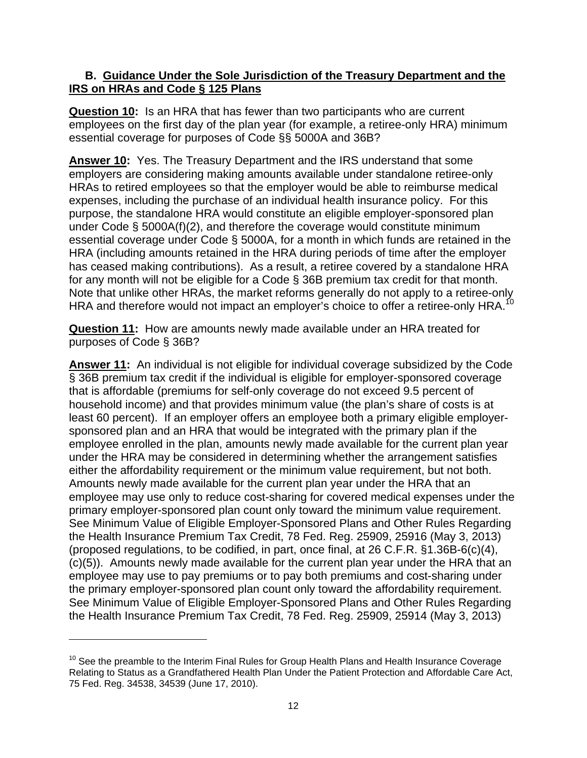### **B. Guidance Under the Sole Jurisdiction of the Treasury Department and the IRS on HRAs and Code § 125 Plans**

**Question 10:** Is an HRA that has fewer than two participants who are current employees on the first day of the plan year (for example, a retiree-only HRA) minimum essential coverage for purposes of Code §§ 5000A and 36B?

**Answer 10:** Yes. The Treasury Department and the IRS understand that some employers are considering making amounts available under standalone retiree-only HRAs to retired employees so that the employer would be able to reimburse medical expenses, including the purchase of an individual health insurance policy. For this purpose, the standalone HRA would constitute an eligible employer-sponsored plan under Code § 5000A(f)(2), and therefore the coverage would constitute minimum essential coverage under Code § 5000A, for a month in which funds are retained in the HRA (including amounts retained in the HRA during periods of time after the employer has ceased making contributions). As a result, a retiree covered by a standalone HRA for any month will not be eligible for a Code § 36B premium tax credit for that month. Note that unlike other HRAs, the market reforms generally do not apply to a retiree-only HRA and therefore would not impact an employer's choice to offer a retiree-only HRA.<sup>10</sup>

**Question 11:** How are amounts newly made available under an HRA treated for purposes of Code § 36B?

**Answer 11:** An individual is not eligible for individual coverage subsidized by the Code § 36B premium tax credit if the individual is eligible for employer-sponsored coverage that is affordable (premiums for self-only coverage do not exceed 9.5 percent of household income) and that provides minimum value (the plan's share of costs is at least 60 percent). If an employer offers an employee both a primary eligible employersponsored plan and an HRA that would be integrated with the primary plan if the employee enrolled in the plan, amounts newly made available for the current plan year under the HRA may be considered in determining whether the arrangement satisfies either the affordability requirement or the minimum value requirement, but not both. Amounts newly made available for the current plan year under the HRA that an employee may use only to reduce cost-sharing for covered medical expenses under the primary employer-sponsored plan count only toward the minimum value requirement. See Minimum Value of Eligible Employer-Sponsored Plans and Other Rules Regarding the Health Insurance Premium Tax Credit, 78 Fed. Reg. 25909, 25916 (May 3, 2013) (proposed regulations, to be codified, in part, once final, at 26 C.F.R. §1.36B-6(c)(4), (c)(5)). Amounts newly made available for the current plan year under the HRA that an employee may use to pay premiums or to pay both premiums and cost-sharing under the primary employer-sponsored plan count only toward the affordability requirement. See Minimum Value of Eligible Employer-Sponsored Plans and Other Rules Regarding the Health Insurance Premium Tax Credit, 78 Fed. Reg. 25909, 25914 (May 3, 2013)

 $10$  See the preamble to the Interim Final Rules for Group Health Plans and Health Insurance Coverage Relating to Status as a Grandfathered Health Plan Under the Patient Protection and Affordable Care Act, 75 Fed. Reg. 34538, 34539 (June 17, 2010).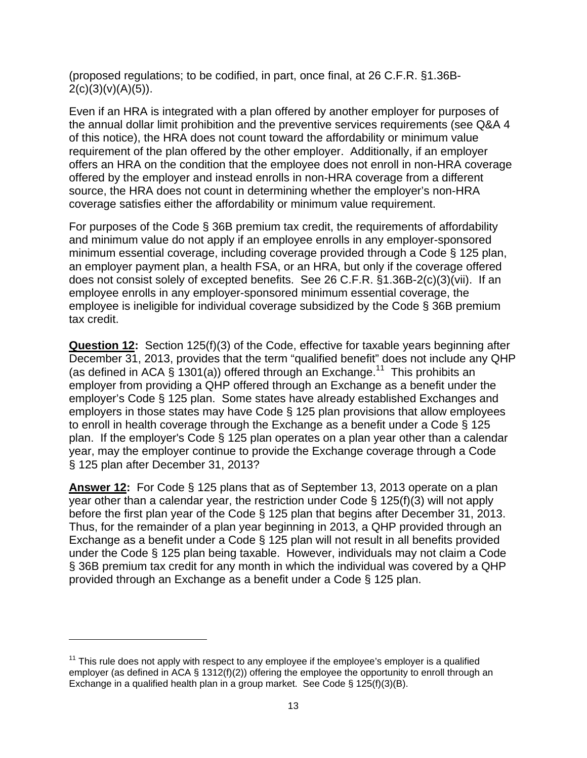(proposed regulations; to be codified, in part, once final, at 26 C.F.R. §1.36B- $2(c)(3)(v)(A)(5)$ ).

Even if an HRA is integrated with a plan offered by another employer for purposes of the annual dollar limit prohibition and the preventive services requirements (see Q&A 4 of this notice), the HRA does not count toward the affordability or minimum value requirement of the plan offered by the other employer. Additionally, if an employer offers an HRA on the condition that the employee does not enroll in non-HRA coverage offered by the employer and instead enrolls in non-HRA coverage from a different source, the HRA does not count in determining whether the employer's non-HRA coverage satisfies either the affordability or minimum value requirement.

For purposes of the Code § 36B premium tax credit, the requirements of affordability and minimum value do not apply if an employee enrolls in any employer-sponsored minimum essential coverage, including coverage provided through a Code § 125 plan, an employer payment plan, a health FSA, or an HRA, but only if the coverage offered does not consist solely of excepted benefits. See 26 C.F.R. §1.36B-2(c)(3)(vii). If an employee enrolls in any employer-sponsored minimum essential coverage, the employee is ineligible for individual coverage subsidized by the Code § 36B premium tax credit.

**Question 12:** Section 125(f)(3) of the Code, effective for taxable years beginning after December 31, 2013, provides that the term "qualified benefit" does not include any QHP (as defined in ACA § 1301(a)) offered through an Exchange.<sup>11</sup> This prohibits an employer from providing a QHP offered through an Exchange as a benefit under the employer's Code § 125 plan. Some states have already established Exchanges and employers in those states may have Code § 125 plan provisions that allow employees to enroll in health coverage through the Exchange as a benefit under a Code § 125 plan. If the employer's Code § 125 plan operates on a plan year other than a calendar year, may the employer continue to provide the Exchange coverage through a Code § 125 plan after December 31, 2013?

**Answer 12:** For Code § 125 plans that as of September 13, 2013 operate on a plan year other than a calendar year, the restriction under Code § 125(f)(3) will not apply before the first plan year of the Code § 125 plan that begins after December 31, 2013. Thus, for the remainder of a plan year beginning in 2013, a QHP provided through an Exchange as a benefit under a Code § 125 plan will not result in all benefits provided under the Code § 125 plan being taxable. However, individuals may not claim a Code § 36B premium tax credit for any month in which the individual was covered by a QHP provided through an Exchange as a benefit under a Code § 125 plan.

 $11$  This rule does not apply with respect to any employee if the employee's employer is a qualified employer (as defined in ACA § 1312(f)(2)) offering the employee the opportunity to enroll through an Exchange in a qualified health plan in a group market. See Code § 125(f)(3)(B).